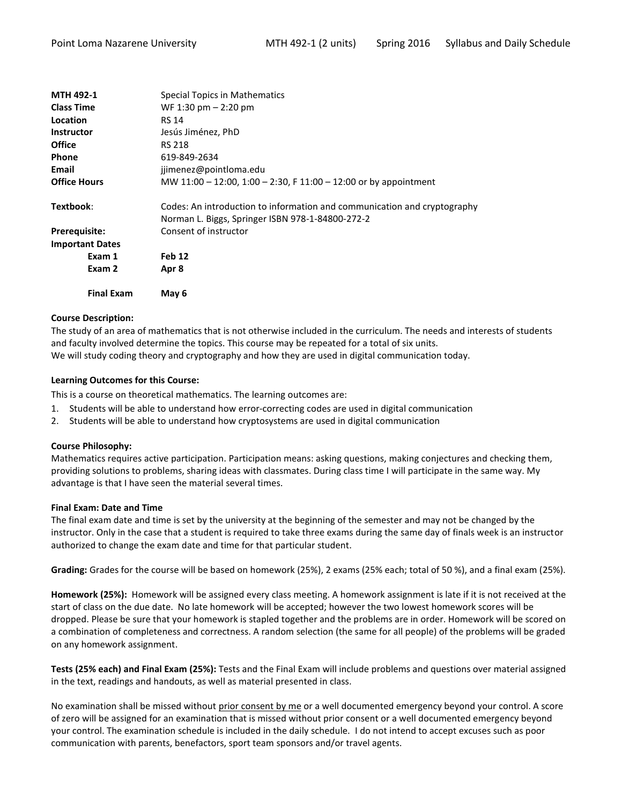| <b>Final Exam</b><br>May 6                                               |
|--------------------------------------------------------------------------|
| Apr 8                                                                    |
| Feb 12                                                                   |
|                                                                          |
| Consent of instructor                                                    |
| Norman L. Biggs, Springer ISBN 978-1-84800-272-2                         |
| Codes: An introduction to information and communication and cryptography |
| MW 11:00 - 12:00, 1:00 - 2:30, F 11:00 - 12:00 or by appointment         |
| jjimenez@pointloma.edu                                                   |
| 619-849-2634                                                             |
| <b>RS 218</b>                                                            |
| Jesús Jiménez, PhD                                                       |
| <b>RS 14</b>                                                             |
| WF 1:30 pm $-$ 2:20 pm                                                   |
| <b>Special Topics in Mathematics</b>                                     |
|                                                                          |

## **Course Description:**

The study of an area of mathematics that is not otherwise included in the curriculum. The needs and interests of students and faculty involved determine the topics. This course may be repeated for a total of six units. We will study coding theory and cryptography and how they are used in digital communication today.

## **Learning Outcomes for this Course:**

This is a course on theoretical mathematics. The learning outcomes are:

- 1. Students will be able to understand how error-correcting codes are used in digital communication
- 2. Students will be able to understand how cryptosystems are used in digital communication

#### **Course Philosophy:**

Mathematics requires active participation. Participation means: asking questions, making conjectures and checking them, providing solutions to problems, sharing ideas with classmates. During class time I will participate in the same way. My advantage is that I have seen the material several times.

#### **Final Exam: Date and Time**

The final exam date and time is set by the university at the beginning of the semester and may not be changed by the instructor. Only in the case that a student is required to take three exams during the same day of finals week is an instructor authorized to change the exam date and time for that particular student.

**Grading:** Grades for the course will be based on homework (25%), 2 exams (25% each; total of 50 %), and a final exam (25%).

**Homework (25%):** Homework will be assigned every class meeting. A homework assignment is late if it is not received at the start of class on the due date. No late homework will be accepted; however the two lowest homework scores will be dropped. Please be sure that your homework is stapled together and the problems are in order. Homework will be scored on a combination of completeness and correctness. A random selection (the same for all people) of the problems will be graded on any homework assignment.

**Tests (25% each) and Final Exam (25%):** Tests and the Final Exam will include problems and questions over material assigned in the text, readings and handouts, as well as material presented in class.

No examination shall be missed without prior consent by me or a well documented emergency beyond your control. A score of zero will be assigned for an examination that is missed without prior consent or a well documented emergency beyond your control. The examination schedule is included in the daily schedule. I do not intend to accept excuses such as poor communication with parents, benefactors, sport team sponsors and/or travel agents.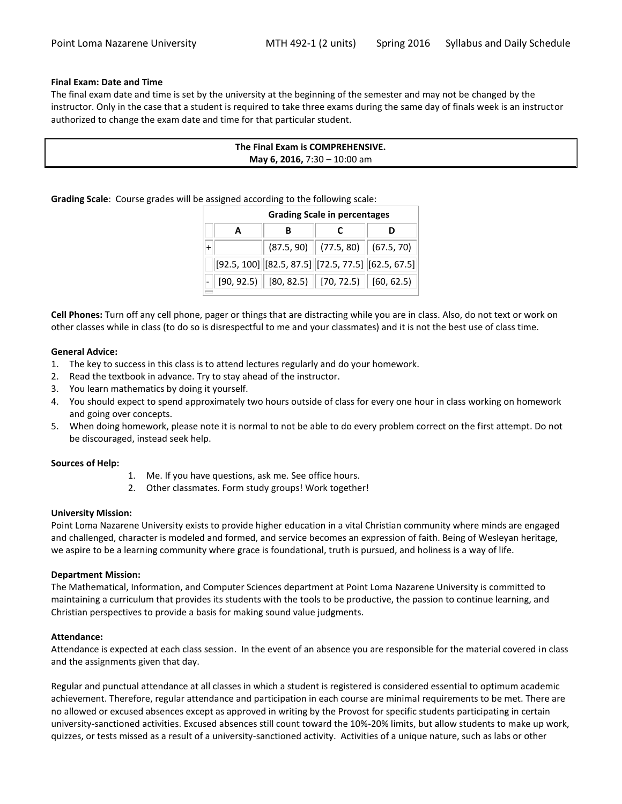## **Final Exam: Date and Time**

The final exam date and time is set by the university at the beginning of the semester and may not be changed by the instructor. Only in the case that a student is required to take three exams during the same day of finals week is an instructor authorized to change the exam date and time for that particular student.

| The Final Exam is COMPREHENSIVE.    |  |
|-------------------------------------|--|
| <b>May 6, 2016, 7:30 - 10:00 am</b> |  |

**Grading Scale**: Course grades will be assigned according to the following scale:

| <b>Grading Scale in percentages</b> |  |                                                            |  |  |  |  |
|-------------------------------------|--|------------------------------------------------------------|--|--|--|--|
| A                                   |  |                                                            |  |  |  |  |
|                                     |  | $(87.5, 90)$ $(77.5, 80)$ $(67.5, 70)$                     |  |  |  |  |
|                                     |  | $[92.5, 100]$ $[82.5, 87.5]$ $[72.5, 77.5]$ $[62.5, 67.5]$ |  |  |  |  |
|                                     |  | $[90, 92.5)$ $[80, 82.5)$ $[70, 72.5)$ $[60, 62.5)$        |  |  |  |  |

**Cell Phones:** Turn off any cell phone, pager or things that are distracting while you are in class. Also, do not text or work on other classes while in class (to do so is disrespectful to me and your classmates) and it is not the best use of class time.

## **General Advice:**

- 1. The key to success in this class is to attend lectures regularly and do your homework.
- 2. Read the textbook in advance. Try to stay ahead of the instructor.
- 3. You learn mathematics by doing it yourself.
- 4. You should expect to spend approximately two hours outside of class for every one hour in class working on homework and going over concepts.
- 5. When doing homework, please note it is normal to not be able to do every problem correct on the first attempt. Do not be discouraged, instead seek help.

#### **Sources of Help:**

- 1. Me. If you have questions, ask me. See office hours.
- 2. Other classmates. Form study groups! Work together!

#### **University Mission:**

Point Loma Nazarene University exists to provide higher education in a vital Christian community where minds are engaged and challenged, character is modeled and formed, and service becomes an expression of faith. Being of Wesleyan heritage, we aspire to be a learning community where grace is foundational, truth is pursued, and holiness is a way of life.

#### **Department Mission:**

The Mathematical, Information, and Computer Sciences department at Point Loma Nazarene University is committed to maintaining a curriculum that provides its students with the tools to be productive, the passion to continue learning, and Christian perspectives to provide a basis for making sound value judgments.

#### **Attendance:**

Attendance is expected at each class session. In the event of an absence you are responsible for the material covered in class and the assignments given that day.

Regular and punctual attendance at all classes in which a student is registered is considered essential to optimum academic achievement. Therefore, regular attendance and participation in each course are minimal requirements to be met. There are no allowed or excused absences except as approved in writing by the Provost for specific students participating in certain university-sanctioned activities. Excused absences still count toward the 10%-20% limits, but allow students to make up work, quizzes, or tests missed as a result of a university-sanctioned activity. Activities of a unique nature, such as labs or other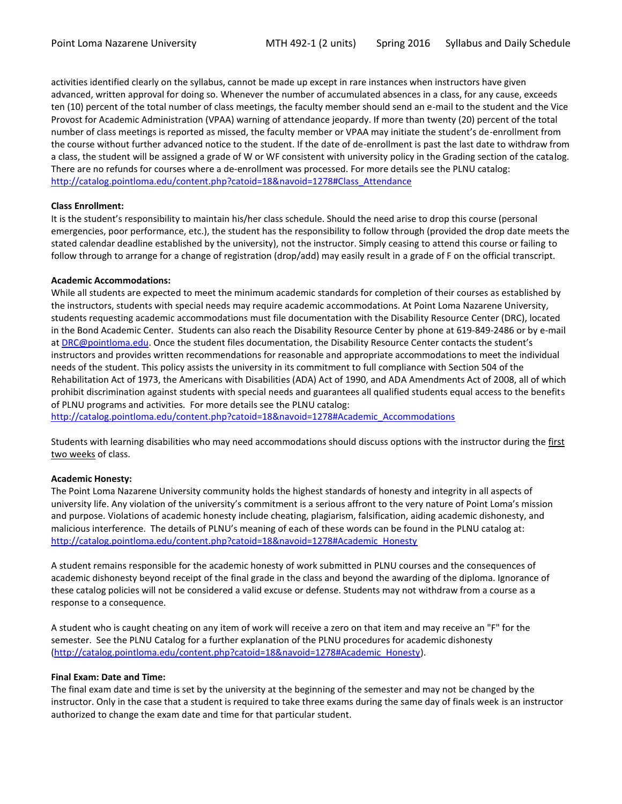activities identified clearly on the syllabus, cannot be made up except in rare instances when instructors have given advanced, written approval for doing so. Whenever the number of accumulated absences in a class, for any cause, exceeds ten (10) percent of the total number of class meetings, the faculty member should send an e-mail to the student and the Vice Provost for Academic Administration (VPAA) warning of attendance jeopardy. If more than twenty (20) percent of the total number of class meetings is reported as missed, the faculty member or VPAA may initiate the student's de-enrollment from the course without further advanced notice to the student. If the date of de-enrollment is past the last date to withdraw from a class, the student will be assigned a grade of W or WF consistent with university policy in the Grading section of the catalog. There are no refunds for courses where a de-enrollment was processed. For more details see the PLNU catalog: [http://catalog.pointloma.edu/content.php?catoid=18&navoid=1278#Class\\_Attendance](http://catalog.pointloma.edu/content.php?catoid=18&navoid=1278#Class_Attendance)

## **Class Enrollment:**

It is the student's responsibility to maintain his/her class schedule. Should the need arise to drop this course (personal emergencies, poor performance, etc.), the student has the responsibility to follow through (provided the drop date meets the stated calendar deadline established by the university), not the instructor. Simply ceasing to attend this course or failing to follow through to arrange for a change of registration (drop/add) may easily result in a grade of F on the official transcript.

## **Academic Accommodations:**

While all students are expected to meet the minimum academic standards for completion of their courses as established by the instructors, students with special needs may require academic accommodations. At Point Loma Nazarene University, students requesting academic accommodations must file documentation with the Disability Resource Center (DRC), located in the Bond Academic Center. Students can also reach the Disability Resource Center by phone at 619-849-2486 or by e-mail at [DRC@pointloma.edu](mailto:DRC@pointloma.edu). Once the student files documentation, the Disability Resource Center contacts the student's instructors and provides written recommendations for reasonable and appropriate accommodations to meet the individual needs of the student. This policy assists the university in its commitment to full compliance with Section 504 of the Rehabilitation Act of 1973, the Americans with Disabilities (ADA) Act of 1990, and ADA Amendments Act of 2008, all of which prohibit discrimination against students with special needs and guarantees all qualified students equal access to the benefits of PLNU programs and activities. For more details see the PLNU catalog:

[http://catalog.pointloma.edu/content.php?catoid=18&navoid=1278#Academic\\_Accommodations](http://catalog.pointloma.edu/content.php?catoid=18&navoid=1278#Academic_Accommodations) 

Students with learning disabilities who may need accommodations should discuss options with the instructor during the first two weeks of class.

## **Academic Honesty:**

The Point Loma Nazarene University community holds the highest standards of honesty and integrity in all aspects of university life. Any violation of the university's commitment is a serious affront to the very nature of Point Loma's mission and purpose. Violations of academic honesty include cheating, plagiarism, falsification, aiding academic dishonesty, and malicious interference. The details of PLNU's meaning of each of these words can be found in the PLNU catalog at: [http://catalog.pointloma.edu/content.php?catoid=18&navoid=1278#Academic\\_Honesty](http://catalog.pointloma.edu/content.php?catoid=18&navoid=1278#Academic_Honesty)

A student remains responsible for the academic honesty of work submitted in PLNU courses and the consequences of academic dishonesty beyond receipt of the final grade in the class and beyond the awarding of the diploma. Ignorance of these catalog policies will not be considered a valid excuse or defense. Students may not withdraw from a course as a response to a consequence.

A student who is caught cheating on any item of work will receive a zero on that item and may receive an "F" for the semester. See the PLNU Catalog for a further explanation of the PLNU procedures for academic dishonesty [\(http://catalog.pointloma.edu/content.php?catoid=18&navoid=1278#Academic\\_Honesty\)](http://catalog.pointloma.edu/content.php?catoid=18&navoid=1278#Academic_Honesty).

## **Final Exam: Date and Time:**

The final exam date and time is set by the university at the beginning of the semester and may not be changed by the instructor. Only in the case that a student is required to take three exams during the same day of finals week is an instructor authorized to change the exam date and time for that particular student.